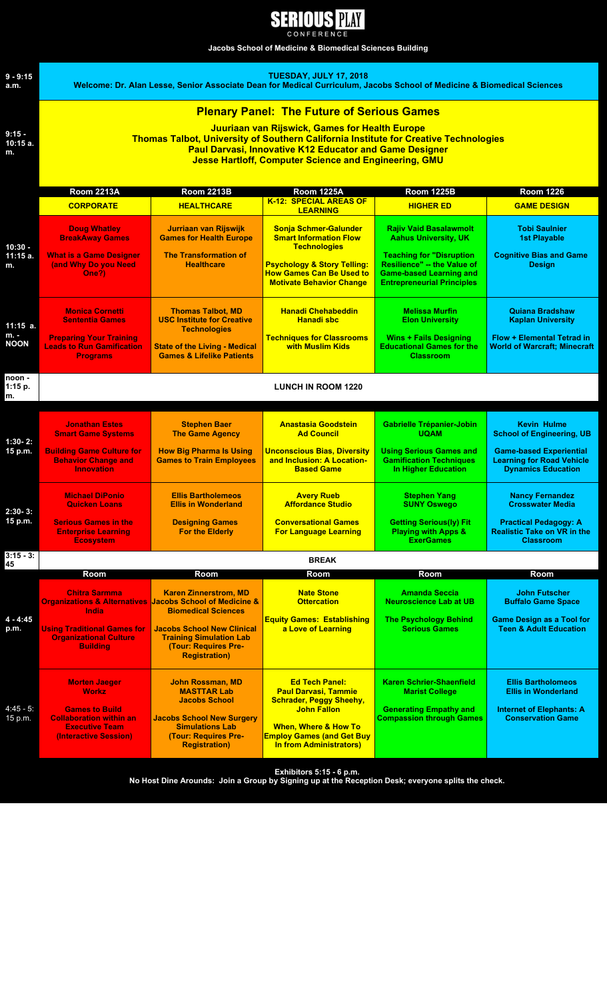| H | .H' |  | Ч | PLAY |
|---|-----|--|---|------|
|   |     |  |   |      |

**Jacobs School of Medicine & Biomedical Sciences Building**



**Exhibitors 5:15 - 6 p.m.** 

**No Host Dine Arounds: Join a Group by Signing up at the Reception Desk; everyone splits the check.**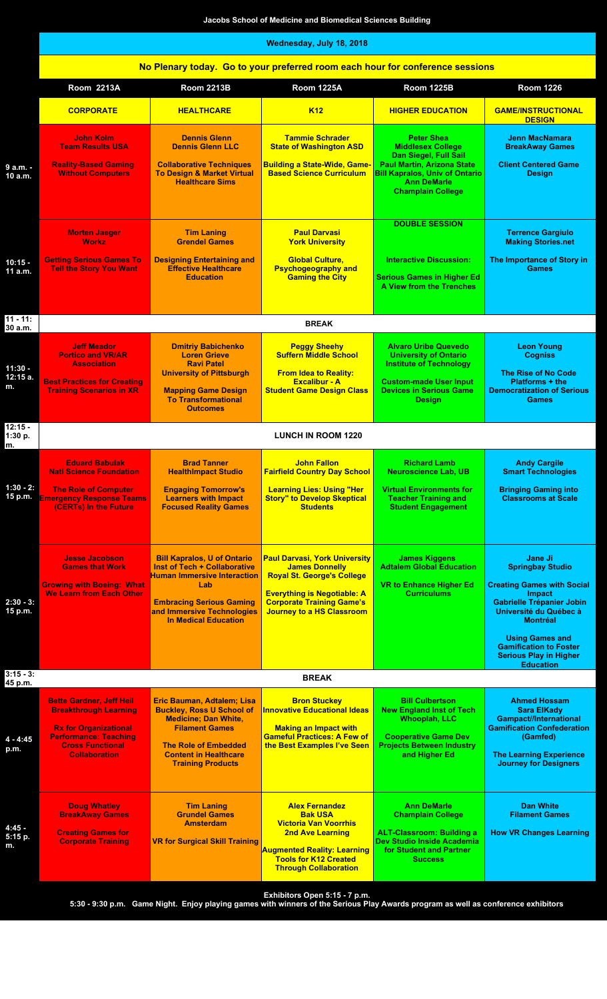|                             | Jacobs School of Medicine and Biomedical Sciences Building                                                                                                                         |                                                                                                                                                                                                                        |                                                                                                                                                                                                                  |                                                                                                                                                                                                        |                                                                                                                                                                                                                                                                              |  |
|-----------------------------|------------------------------------------------------------------------------------------------------------------------------------------------------------------------------------|------------------------------------------------------------------------------------------------------------------------------------------------------------------------------------------------------------------------|------------------------------------------------------------------------------------------------------------------------------------------------------------------------------------------------------------------|--------------------------------------------------------------------------------------------------------------------------------------------------------------------------------------------------------|------------------------------------------------------------------------------------------------------------------------------------------------------------------------------------------------------------------------------------------------------------------------------|--|
|                             | Wednesday, July 18, 2018                                                                                                                                                           |                                                                                                                                                                                                                        |                                                                                                                                                                                                                  |                                                                                                                                                                                                        |                                                                                                                                                                                                                                                                              |  |
|                             | No Plenary today. Go to your preferred room each hour for conference sessions                                                                                                      |                                                                                                                                                                                                                        |                                                                                                                                                                                                                  |                                                                                                                                                                                                        |                                                                                                                                                                                                                                                                              |  |
|                             | <b>Room 2213A</b>                                                                                                                                                                  | <b>Room 2213B</b>                                                                                                                                                                                                      | <b>Room 1225A</b>                                                                                                                                                                                                | <b>Room 1225B</b>                                                                                                                                                                                      | <b>Room 1226</b>                                                                                                                                                                                                                                                             |  |
|                             | <b>CORPORATE</b>                                                                                                                                                                   | <b>HEALTHCARE</b>                                                                                                                                                                                                      | <b>K12</b>                                                                                                                                                                                                       | <b>HIGHER EDUCATION</b>                                                                                                                                                                                | <b>GAME/INSTRUCTIONAL</b><br><b>DESIGN</b>                                                                                                                                                                                                                                   |  |
| 9 a.m. -<br>10 a.m.         | John Kolm<br><b>Team Results USA</b><br><b>Reality-Based Gaming</b><br><b>Without Computers</b>                                                                                    | <b>Dennis Glenn</b><br><b>Dennis Glenn LLC</b><br><b>Collaborative Techniques</b><br><b>To Design &amp; Market Virtual</b><br><b>Healthcare Sims</b>                                                                   | <b>Tammie Schrader</b><br><b>State of Washington ASD</b><br><b>Building a State-Wide, Game-</b><br><b>Based Science Curriculum</b>                                                                               | <b>Peter Shea</b><br><b>Middlesex College</b><br>Dan Siegel, Full Sail<br><b>Paul Martin, Arizona State</b><br><b>Bill Kapralos, Univ of Ontario</b><br><b>Ann DeMarle</b><br><b>Champlain College</b> | <b>Jenn MacNamara</b><br><b>BreakAway Games</b><br><b>Client Centered Game</b><br><b>Design</b>                                                                                                                                                                              |  |
|                             | <b>Morten Jaeger</b><br><b>Workz</b>                                                                                                                                               | <b>Tim Laning</b><br><b>Grendel Games</b>                                                                                                                                                                              | <b>Paul Darvasi</b><br><b>York University</b>                                                                                                                                                                    | <b>DOUBLE SESSION</b>                                                                                                                                                                                  | <b>Terrence Gargiulo</b><br><b>Making Stories.net</b>                                                                                                                                                                                                                        |  |
| $10:15 -$<br>11 a.m.        | <b>Getting Serious Games To</b><br><b>Tell the Story You Want</b>                                                                                                                  | <b>Designing Entertaining and</b><br><b>Effective Healthcare</b><br><b>Education</b>                                                                                                                                   | <b>Global Culture,</b><br><b>Psychogeography and</b><br><b>Gaming the City</b>                                                                                                                                   | <b>Interactive Discussion:</b><br><b>Serious Games in Higher Ed</b><br>A View from the Trenches                                                                                                        | The Importance of Story in<br><b>Games</b>                                                                                                                                                                                                                                   |  |
| $11 - 11$ :<br>30 a.m.      |                                                                                                                                                                                    |                                                                                                                                                                                                                        | <b>BREAK</b>                                                                                                                                                                                                     |                                                                                                                                                                                                        |                                                                                                                                                                                                                                                                              |  |
| $11:30 -$<br>12:15 a.<br>m. | <b>Jeff Meador</b><br><b>Portico and VR/AR</b><br><b>Association</b><br><b>Best Practices for Creating</b><br><b>Training Scenarios in XR</b>                                      | <b>Dmitriy Babichenko</b><br><b>Loren Grieve</b><br><b>Ravi Patel</b><br><b>University of Pittsburgh</b><br><b>Mapping Game Design</b><br><b>To Transformational</b><br><b>Outcomes</b>                                | <b>Peggy Sheehy</b><br><b>Suffern Middle School</b><br><b>From Idea to Reality:</b><br><b>Excalibur - A</b><br><b>Student Game Design Class</b>                                                                  | <b>Alvaro Uribe Quevedo</b><br><b>University of Ontario</b><br><b>Institute of Technology</b><br><b>Custom-made User Input</b><br><b>Devices in Serious Game</b><br><b>Design</b>                      | <b>Leon Young</b><br><b>Cogniss</b><br><b>The Rise of No Code</b><br><b>Platforms + the</b><br><b>Democratization of Serious</b><br><b>Games</b>                                                                                                                             |  |
| $12:15 -$<br>1:30 p.        | <b>LUNCH IN ROOM 1220</b>                                                                                                                                                          |                                                                                                                                                                                                                        |                                                                                                                                                                                                                  |                                                                                                                                                                                                        |                                                                                                                                                                                                                                                                              |  |
| m.                          | <b>Eduard Babulak</b><br><b>Natl Science Foundation</b>                                                                                                                            | <b>Brad Tanner</b><br><b>HealthImpact Studio</b>                                                                                                                                                                       | <b>John Fallon</b><br><b>Fairfield Country Day School</b>                                                                                                                                                        | <b>Richard Lamb</b><br><b>Neuroscience Lab, UB</b>                                                                                                                                                     | <b>Andy Cargile</b><br><b>Smart Technologies</b>                                                                                                                                                                                                                             |  |
| $1:30 - 2:$                 | <b>The Role of Computer</b><br>15 p.m. Emergency Response Teams<br>(CERTs) In the Future                                                                                           | <b>Engaging Tomorrow's</b><br><b>Learners with Impact</b><br><b>Focused Reality Games</b>                                                                                                                              | <b>Learning Lies: Using "Her</b><br><b>Story" to Develop Skeptical</b><br><b>Students</b>                                                                                                                        | <b>Virtual Environments for</b><br><b>Teacher Training and</b><br><b>Student Engagement</b>                                                                                                            | <b>Bringing Gaming into</b><br><b>Classrooms at Scale</b>                                                                                                                                                                                                                    |  |
| $2:30 - 3:$<br>15 p.m.      | <b>Jesse Jacobson</b><br><b>Games that Work</b><br><b>Growing with Boeing: What</b><br><b>We Learn from Each Other</b>                                                             | <b>Bill Kapralos, U of Ontario</b><br><b>Inst of Tech + Collaborative</b><br><b>Human Immersive Interaction</b><br>Lab<br><b>Embracing Serious Gaming</b><br>and Immersive Technologies<br><b>In Medical Education</b> | <b>Paul Darvasi, York University</b><br><b>James Donnelly</b><br><b>Royal St. George's College</b><br><b>Everything is Negotiable: A</b><br><b>Corporate Training Game's</b><br><b>Journey to a HS Classroom</b> | <b>James Kiggens</b><br><b>Adtalem Global Education</b><br><b>VR to Enhance Higher Ed</b><br><b>Curriculums</b>                                                                                        | <b>Jane Ji</b><br><b>Springbay Studio</b><br><b>Creating Games with Social</b><br><b>Impact</b><br><b>Gabrielle Trépanier Jobin</b><br>Université du Québec à<br><b>Montréal</b><br><b>Using Games and</b><br><b>Gamification to Foster</b><br><b>Serious Play in Higher</b> |  |
| $3:15 - 3:$<br>45 p.m.      | <b>Education</b><br><b>BREAK</b>                                                                                                                                                   |                                                                                                                                                                                                                        |                                                                                                                                                                                                                  |                                                                                                                                                                                                        |                                                                                                                                                                                                                                                                              |  |
| $4 - 4:45$<br>p.m.          | <b>Bette Gardner, Jeff Heil</b><br><b>Breakthrough Learning</b><br><b>Rx for Organizational</b><br><b>Performance: Teaching</b><br><b>Cross Functional</b><br><b>Collaboration</b> | Eric Bauman, Adtalem; Lisa<br><b>Buckley, Ross U School of</b><br><b>Medicine; Dan White,</b><br><b>Filament Games</b><br><b>The Role of Embedded</b><br><b>Content in Healthcare</b><br><b>Training Products</b>      | <b>Bron Stuckey</b><br><b>Innovative Educational Ideas</b><br><b>Making an Impact with</b><br><b>Gameful Practices: A Few of</b><br>the Best Examples I've Seen                                                  | <b>Bill Culbertson</b><br><b>New England Inst of Tech</b><br><b>Whooplah, LLC</b><br><b>Cooperative Game Dev</b><br><b>Projects Between Industry</b><br>and Higher Ed                                  | <b>Ahmed Hossam</b><br><b>Sara ElKady</b><br><b>Gampact//International</b><br><b>Gamification Confederation</b><br>(Gamfed)<br><b>The Learning Experience</b><br><b>Journey for Designers</b>                                                                                |  |
| $4:45 -$<br>5:15 p.<br>m.   | <b>Doug Whatley</b><br><b>BreakAway Games</b><br><b>Creating Games for</b><br><b>Corporate Training</b>                                                                            | <b>Tim Laning</b><br><b>Grundel Games</b><br><b>Amsterdam</b><br><b>VR for Surgical Skill Training</b>                                                                                                                 | <b>Alex Fernandez</b><br><b>Bak USA</b><br><b>Victoria Van Voorrhis</b><br><b>2nd Ave Learning</b><br>Augmented Reality: Learning<br><b>Tools for K12 Created</b><br><b>Through Collaboration</b>                | <b>Ann DeMarle</b><br><b>Champlain College</b><br><b>ALT-Classroom: Building a</b><br>Dev Studio Inside Academia<br>for Student and Partner<br><b>Success</b>                                          | <b>Dan White</b><br><b>Filament Games</b><br><b>How VR Changes Learning</b>                                                                                                                                                                                                  |  |

**Exhibitors Open 5:15 - 7 p.m.**

**5:30 - 9:30 p.m. Game Night. Enjoy playing games with winners of the Serious Play Awards program as well as conference exhibitors**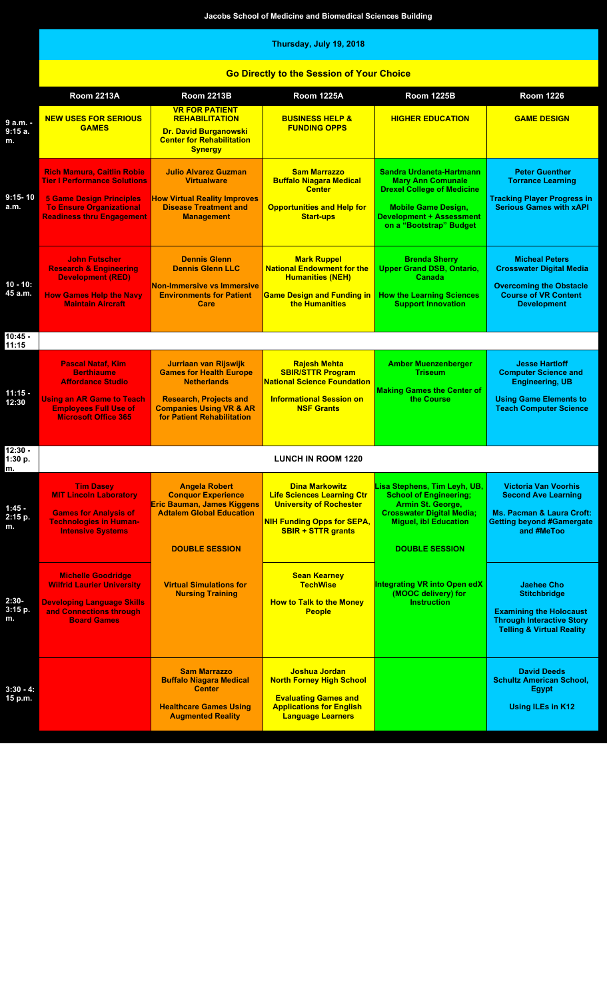**Jacobs School of Medicine and Biomedical Sciences Building**

## **Thursday, July 19, 2018**

| <b>Go Directly to the Session of Your Choice</b> |
|--------------------------------------------------|
|                                                  |

|                            | <b>Room 2213A</b>                                                                                                                                                                  | <b>Room 2213B</b>                                                                                                                                                                  | <b>Room 1225A</b>                                                                                                                                              | <b>Room 1225B</b>                                                                                                                                                                     | <b>Room 1226</b>                                                                                                                                       |
|----------------------------|------------------------------------------------------------------------------------------------------------------------------------------------------------------------------------|------------------------------------------------------------------------------------------------------------------------------------------------------------------------------------|----------------------------------------------------------------------------------------------------------------------------------------------------------------|---------------------------------------------------------------------------------------------------------------------------------------------------------------------------------------|--------------------------------------------------------------------------------------------------------------------------------------------------------|
| 9 a.m. -<br>9:15a.<br>m.   | <b>NEW USES FOR SERIOUS</b><br><b>GAMES</b>                                                                                                                                        | <b>VR FOR PATIENT</b><br><b>REHABILITATION</b><br><b>Dr. David Burganowski</b><br><b>Center for Rehabilitation</b><br><b>Synergy</b>                                               | <b>BUSINESS HELP &amp;</b><br><b>FUNDING OPPS</b>                                                                                                              | <b>HIGHER EDUCATION</b>                                                                                                                                                               | <b>GAME DESIGN</b>                                                                                                                                     |
| $9:15 - 10$<br>a.m.        | <b>Rich Mamura, Caitlin Robie</b><br><b>Tier I Performance Solutions</b><br><b>5 Game Design Principles</b><br><b>To Ensure Organizational</b><br><b>Readiness thru Engagement</b> | <b>Julio Alvarez Guzman</b><br><b>Virtualware</b><br><b>How Virtual Reality Improves</b><br><b>Disease Treatment and</b><br><b>Management</b>                                      | <b>Sam Marrazzo</b><br><b>Buffalo Niagara Medical</b><br><b>Center</b><br><b>Opportunities and Help for</b><br><b>Start-ups</b>                                | Sandra Urdaneta-Hartmann<br><b>Mary Ann Comunale</b><br><b>Drexel College of Medicine</b><br><b>Mobile Game Design,</b><br><b>Development + Assessment</b><br>on a "Bootstrap" Budget | <b>Peter Guenther</b><br><b>Torrance Learning</b><br><b>Tracking Player Progress in</b><br><b>Serious Games with xAPI</b>                              |
| $10 - 10$ :<br>45 a.m.     | <b>John Futscher</b><br><b>Research &amp; Engineering</b><br><b>Development (RED)</b><br><b>How Games Help the Navy</b><br><b>Maintain Aircraft</b>                                | <b>Dennis Glenn</b><br><b>Dennis Glenn LLC</b><br><b>Non-Immersive vs Immersive</b><br><b>Environments for Patient</b><br>Care                                                     | <b>Mark Ruppel</b><br><b>National Endowment for the</b><br><b>Humanities (NEH)</b><br><b>Game Design and Funding in</b><br>the Humanities                      | <b>Brenda Sherry</b><br><b>Upper Grand DSB, Ontario,</b><br>Canada<br><b>How the Learning Sciences</b><br><b>Support Innovation</b>                                                   | <b>Micheal Peters</b><br><b>Crosswater Digital Media</b><br><b>Overcoming the Obstacle</b><br><b>Course of VR Content</b><br><b>Development</b>        |
| $10:45 -$<br>11:15         |                                                                                                                                                                                    |                                                                                                                                                                                    |                                                                                                                                                                |                                                                                                                                                                                       |                                                                                                                                                        |
| $11:15 -$<br>12:30         | <b>Pascal Nataf, Kim</b><br><b>Berthiaume</b><br><b>Affordance Studio</b><br><b>Using an AR Game to Teach</b><br><b>Employees Full Use of</b><br><b>Microsoft Office 365</b>       | Jurriaan van Rijswijk<br><b>Games for Health Europe</b><br><b>Netherlands</b><br><b>Research, Projects and</b><br><b>Companies Using VR &amp; AR</b><br>for Patient Rehabilitation | <b>Rajesh Mehta</b><br><b>SBIR/STTR Program</b><br><b>National Science Foundation</b><br><b>Informational Session on</b><br><b>NSF Grants</b>                  | <b>Amber Muenzenberger</b><br><b>Triseum</b><br><b>Making Games the Center of</b><br>the Course                                                                                       | <b>Jesse Hartloff</b><br><b>Computer Science and</b><br><b>Engineering, UB</b><br><b>Using Game Elements to</b><br><b>Teach Computer Science</b>       |
| $12:30 -$<br>1:30 p.<br>m. |                                                                                                                                                                                    |                                                                                                                                                                                    | <b>LUNCH IN ROOM 1220</b>                                                                                                                                      |                                                                                                                                                                                       |                                                                                                                                                        |
| $1:45 -$<br>2:15 p.        | <b>Tim Dasey</b><br><b>MIT Lincoln Laboratory</b><br><b>Games for Analysis of</b><br><b>Technologies in Human-</b><br><b>Intensive Systems</b>                                     | <b>Angela Robert</b><br><b>Conquor Experience</b><br><b>Eric Bauman, James Kiggens</b><br><b>Adtalem Global Education</b><br><b>DOUBLE SESSION</b>                                 | <b>Dina Markowitz</b><br><b>Life Sciences Learning Ctr</b><br><b>University of Rochester</b><br><b>NIH Funding Opps for SEPA,</b><br><b>SBIR + STTR grants</b> | Lisa Stephens, Tim Leyh, UB,<br><b>School of Engineering;</b><br>Armin St. George,<br><b>Crosswater Digital Media;</b><br><b>Miguel, ibl Education</b><br><b>DOUBLE SESSION</b>       | <b>Victoria Van Voorhis</b><br><b>Second Ave Learning</b><br><b>Ms. Pacman &amp; Laura Croft:</b><br><b>Getting beyond #Gamergate</b><br>and #MeToo    |
| $2:30-$<br>3:15 p.<br>m.   | <b>Michelle Goodridge</b><br><b>Wilfrid Laurier University</b><br><b>Developing Language Skills</b><br>and Connections through<br><b>Board Games</b>                               | <b>Virtual Simulations for</b><br><b>Nursing Training</b>                                                                                                                          | <b>Sean Kearney</b><br><b>TechWise</b><br><b>How to Talk to the Money</b><br><b>People</b>                                                                     | <b>Integrating VR into Open edX</b><br>(MOOC delivery) for<br><b>Instruction</b>                                                                                                      | <b>Jaehee Cho</b><br><b>Stitchbridge</b><br><b>Examining the Holocaust</b><br><b>Through Interactive Story</b><br><b>Telling &amp; Virtual Reality</b> |
| $3:30 - 4:$<br>15 p.m.     |                                                                                                                                                                                    | <b>Sam Marrazzo</b><br><b>Buffalo Niagara Medical</b><br><b>Center</b><br><b>Healthcare Games Using</b><br><b>Augmented Reality</b>                                                | Joshua Jordan<br><b>North Forney High School</b><br><b>Evaluating Games and</b><br><b>Applications for English</b><br><b>Language Learners</b>                 |                                                                                                                                                                                       | <b>David Deeds</b><br><b>Schultz American School,</b><br><b>Egypt</b><br><b>Using ILEs in K12</b>                                                      |